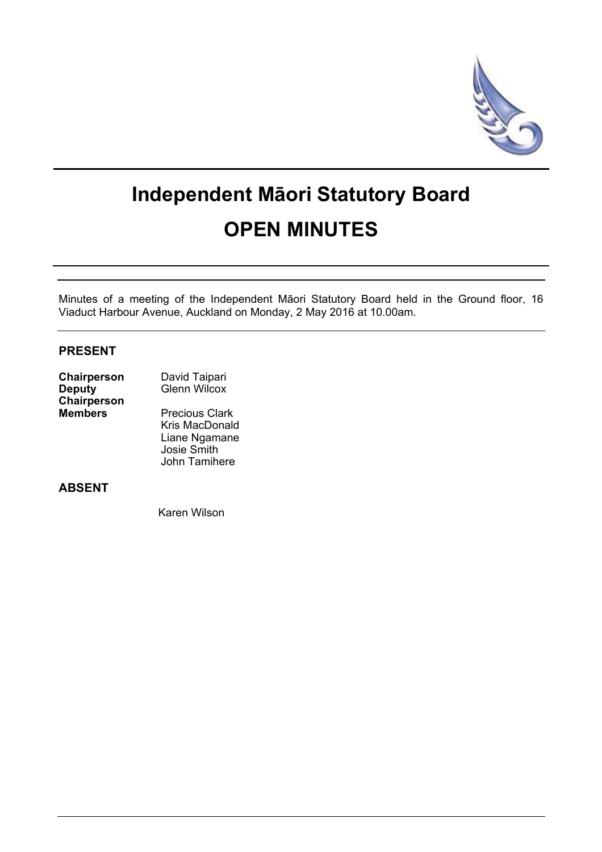

# **Independent Māori Statutory Board OPEN MINUTES**

Minutes of a meeting of the Independent Māori Statutory Board held in the Ground floor, 16 Viaduct Harbour Avenue, Auckland on Monday, 2 May 2016 at 10.00am.

## **PRESENT**

| Chairperson    | David Taipari<br><b>Glenn Wilcox</b> |  |
|----------------|--------------------------------------|--|
| <b>Deputy</b>  |                                      |  |
| Chairperson    |                                      |  |
| <b>Members</b> | <b>Precious Clark</b>                |  |
|                | Kris MacDonald                       |  |
|                | Liane Ngamane                        |  |
|                | Josie Smith                          |  |

## **ABSENT**

Karen Wilson

John Tamihere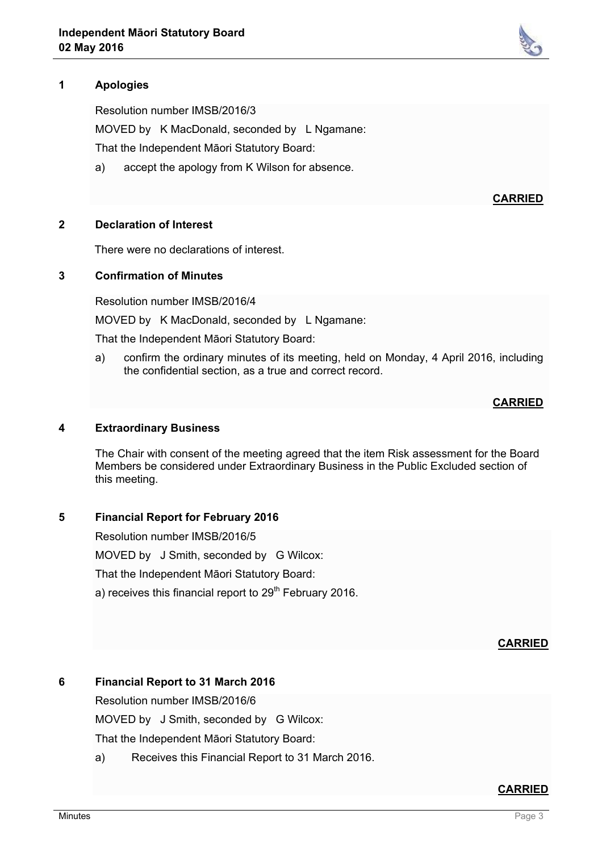## **1 Apologies**

Resolution number IMSB/2016/3

MOVED by K MacDonald, seconded by L Ngamane:

That the Independent Māori Statutory Board:

a) accept the apology from K Wilson for absence.

**CARRIED**

#### **2 Declaration of Interest**

There were no declarations of interest.

#### **3 Confirmation of Minutes**

Resolution number IMSB/2016/4

MOVED by K MacDonald, seconded by L Ngamane:

That the Independent Māori Statutory Board:

a) confirm the ordinary minutes of its meeting, held on Monday, 4 April 2016, including the confidential section, as a true and correct record.

## **CARRIED**

## **4 Extraordinary Business**

The Chair with consent of the meeting agreed that the item Risk assessment for the Board Members be considered under Extraordinary Business in the Public Excluded section of this meeting.

## **5 Financial Report for February 2016**

Resolution number IMSB/2016/5 MOVED by J Smith, seconded by G Wilcox: That the Independent Māori Statutory Board: a) receives this financial report to  $29<sup>th</sup>$  February 2016.

**CARRIED**

## **6 Financial Report to 31 March 2016**

Resolution number IMSB/2016/6

MOVED by J Smith, seconded by G Wilcox:

That the Independent Māori Statutory Board:

a) Receives this Financial Report to 31 March 2016.

#### **CARRIED**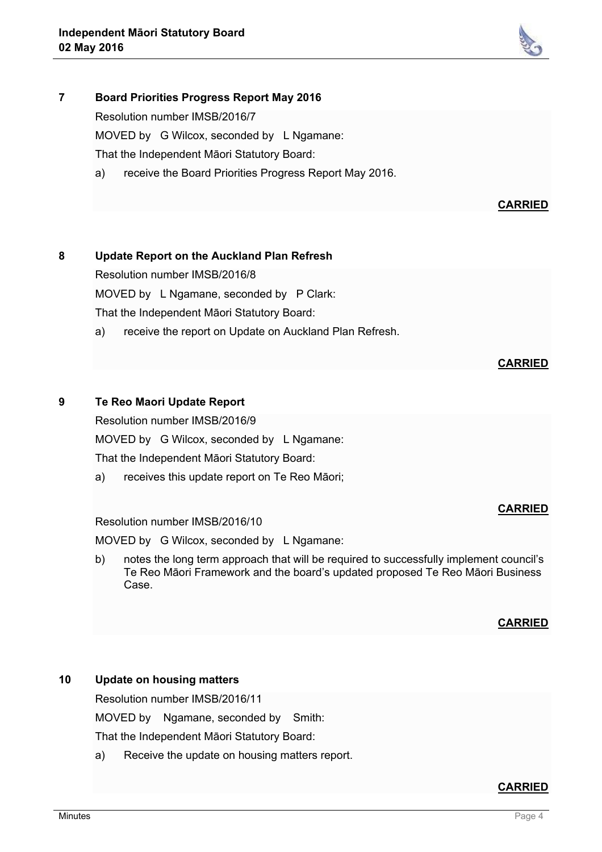

## **7 Board Priorities Progress Report May 2016**

Resolution number IMSB/2016/7

MOVED by G Wilcox, seconded by L Ngamane:

That the Independent Māori Statutory Board:

a) receive the Board Priorities Progress Report May 2016.

## **CARRIED**

## **8 Update Report on the Auckland Plan Refresh**

Resolution number IMSB/2016/8

MOVED by L Ngamane, seconded by P Clark:

That the Independent Māori Statutory Board:

a) receive the report on Update on Auckland Plan Refresh.

## **CARRIED**

## **9 Te Reo Maori Update Report**

Resolution number IMSB/2016/9

MOVED by G Wilcox, seconded by L Ngamane:

That the Independent Māori Statutory Board:

a) receives this update report on Te Reo Māori;

## Resolution number IMSB/2016/10

MOVED by G Wilcox, seconded by L Ngamane:

b) notes the long term approach that will be required to successfully implement council's Te Reo Māori Framework and the board's updated proposed Te Reo Māori Business Case.

## **CARRIED**

**CARRIED**

## **10 Update on housing matters**

Resolution number IMSB/2016/11

MOVED by Ngamane, seconded by Smith:

That the Independent Māori Statutory Board:

a) Receive the update on housing matters report.

## **CARRIED**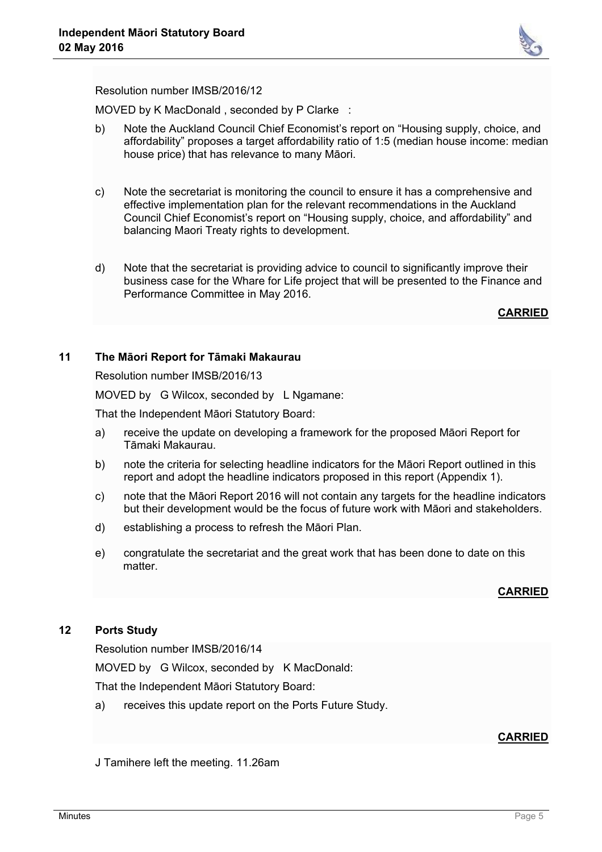

Resolution number IMSB/2016/12

MOVED by K MacDonald , seconded by P Clarke :

- b) Note the Auckland Council Chief Economist's report on "Housing supply, choice, and affordability" proposes a target affordability ratio of 1:5 (median house income: median house price) that has relevance to many Māori.
- c) Note the secretariat is monitoring the council to ensure it has a comprehensive and effective implementation plan for the relevant recommendations in the Auckland Council Chief Economist's report on "Housing supply, choice, and affordability" and balancing Maori Treaty rights to development.
- d) Note that the secretariat is providing advice to council to significantly improve their business case for the Whare for Life project that will be presented to the Finance and Performance Committee in May 2016.

**CARRIED**

## **11 The Māori Report for Tāmaki Makaurau**

Resolution number IMSB/2016/13

MOVED by G Wilcox, seconded by L Ngamane:

That the Independent Māori Statutory Board:

- a) receive the update on developing a framework for the proposed Māori Report for Tāmaki Makaurau.
- b) note the criteria for selecting headline indicators for the Māori Report outlined in this report and adopt the headline indicators proposed in this report (Appendix 1).
- c) note that the Māori Report 2016 will not contain any targets for the headline indicators but their development would be the focus of future work with Māori and stakeholders.
- d) establishing a process to refresh the Māori Plan.
- e) congratulate the secretariat and the great work that has been done to date on this matter

## **CARRIED**

## **12 Ports Study**

Resolution number IMSB/2016/14

MOVED by G Wilcox, seconded by K MacDonald:

That the Independent Māori Statutory Board:

a) receives this update report on the Ports Future Study.

## **CARRIED**

J Tamihere left the meeting. 11.26am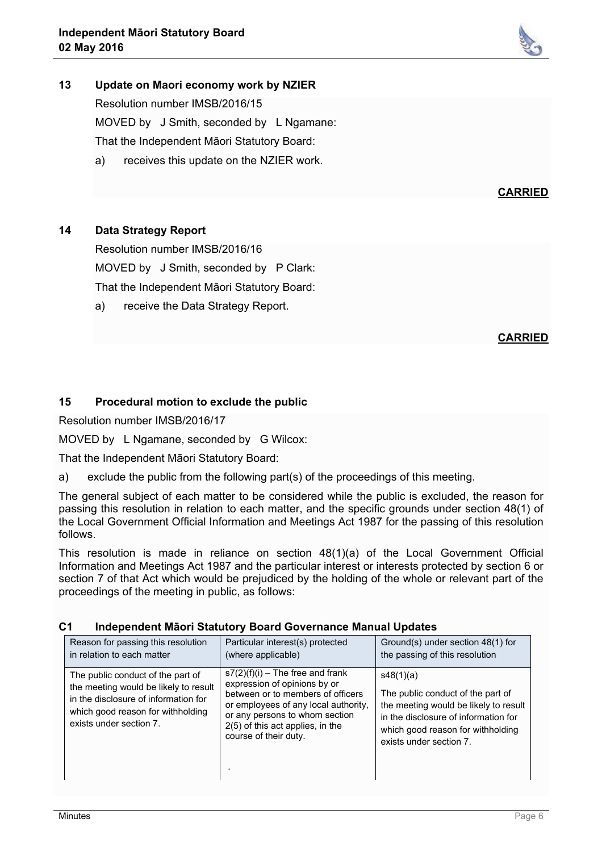

# **13 Update on Maori economy work by NZIER**

Resolution number IMSB/2016/15

MOVED by J Smith, seconded by L Ngamane: That the Independent Māori Statutory Board:

a) receives this update on the NZIER work.

**14 Data Strategy Report**

Resolution number IMSB/2016/16 MOVED by J Smith, seconded by P Clark: That the Independent Māori Statutory Board:

a) receive the Data Strategy Report.

**CARRIED**

**CARRIED**

## **15 Procedural motion to exclude the public**

Resolution number IMSB/2016/17

MOVED by L Ngamane, seconded by G Wilcox:

That the Independent Māori Statutory Board:

a) exclude the public from the following part(s) of the proceedings of this meeting.

The general subject of each matter to be considered while the public is excluded, the reason for passing this resolution in relation to each matter, and the specific grounds under section 48(1) of the Local Government Official Information and Meetings Act 1987 for the passing of this resolution follows.

This resolution is made in reliance on section 48(1)(a) of the Local Government Official Information and Meetings Act 1987 and the particular interest or interests protected by section 6 or section 7 of that Act which would be prejudiced by the holding of the whole or relevant part of the proceedings of the meeting in public, as follows:

| Reason for passing this resolution<br>in relation to each matter                                                                                                                   | Particular interest(s) protected<br>(where applicable)                                                                                                                                                                                         | Ground(s) under section 48(1) for<br>the passing of this resolution                                                                                                                             |
|------------------------------------------------------------------------------------------------------------------------------------------------------------------------------------|------------------------------------------------------------------------------------------------------------------------------------------------------------------------------------------------------------------------------------------------|-------------------------------------------------------------------------------------------------------------------------------------------------------------------------------------------------|
| The public conduct of the part of<br>the meeting would be likely to result<br>in the disclosure of information for<br>which good reason for withholding<br>exists under section 7. | $s7(2)(f)(i)$ – The free and frank<br>expression of opinions by or<br>between or to members of officers<br>or employees of any local authority,<br>or any persons to whom section<br>2(5) of this act applies, in the<br>course of their duty. | s48(1)(a)<br>The public conduct of the part of<br>the meeting would be likely to result<br>in the disclosure of information for<br>which good reason for withholding<br>exists under section 7. |

## **C1 Independent Māori Statutory Board Governance Manual Updates**